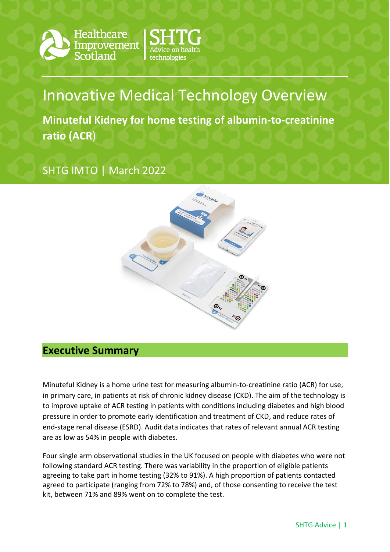



# Innovative Medical Technology Overview

**Minuteful Kidney for home testing of albumin-to-creatinine ratio (ACR**)

## SHTG IMTO | March 2022



### **Executive Summary**

Minuteful Kidney is a home urine test for measuring albumin-to-creatinine ratio (ACR) for use, in primary care, in patients at risk of chronic kidney disease (CKD). The aim of the technology is to improve uptake of ACR testing in patients with conditions including diabetes and high blood pressure in order to promote early identification and treatment of CKD, and reduce rates of end-stage renal disease (ESRD). Audit data indicates that rates of relevant annual ACR testing are as low as 54% in people with diabetes.

Four single arm observational studies in the UK focused on people with diabetes who were not following standard ACR testing. There was variability in the proportion of eligible patients agreeing to take part in home testing (32% to 91%). A high proportion of patients contacted agreed to participate (ranging from 72% to 78%) and, of those consenting to receive the test kit, between 71% and 89% went on to complete the test.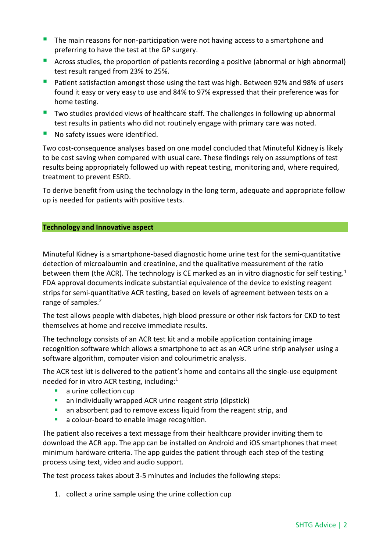- The main reasons for non-participation were not having access to a smartphone and preferring to have the test at the GP surgery.
- **Across studies, the proportion of patients recording a positive (abnormal or high abnormal)** test result ranged from 23% to 25%.
- **P** Patient satisfaction amongst those using the test was high. Between 92% and 98% of users found it easy or very easy to use and 84% to 97% expressed that their preference was for home testing.
- Two studies provided views of healthcare staff. The challenges in following up abnormal test results in patients who did not routinely engage with primary care was noted.
- No safety issues were identified.

Two cost-consequence analyses based on one model concluded that Minuteful Kidney is likely to be cost saving when compared with usual care. These findings rely on assumptions of test results being appropriately followed up with repeat testing, monitoring and, where required, treatment to prevent ESRD.

To derive benefit from using the technology in the long term, adequate and appropriate follow up is needed for patients with positive tests.

#### **Technology and Innovative aspect**

Minuteful Kidney is a smartphone-based diagnostic home urine test for the semi-quantitative detection of microalbumin and creatinine, and the qualitative measurement of the ratio between them (the ACR). The technology is CE marked as an in vitro diagnostic for self testing.<sup>1</sup> FDA approval documents indicate substantial equivalence of the device to existing reagent strips for semi-quantitative ACR testing, based on levels of agreement between tests on a range of samples.<sup>2</sup>

The test allows people with diabetes, high blood pressure or other risk factors for CKD to test themselves at home and receive immediate results.

The technology consists of an ACR test kit and a mobile application containing image recognition software which allows a smartphone to act as an ACR urine strip analyser using a software algorithm, computer vision and colourimetric analysis.

The ACR test kit is delivered to the patient's home and contains all the single-use equipment needed for in vitro ACR testing, including: 1

- **a** urine collection cup
- **an individually wrapped ACR urine reagent strip (dipstick)**
- **a** an absorbent pad to remove excess liquid from the reagent strip, and
- **a** a colour-board to enable image recognition.

The patient also receives a text message from their healthcare provider inviting them to download the ACR app. The app can be installed on Android and iOS smartphones that meet minimum hardware criteria. The app guides the patient through each step of the testing process using text, video and audio support.

The test process takes about 3-5 minutes and includes the following steps:

1. collect a urine sample using the urine collection cup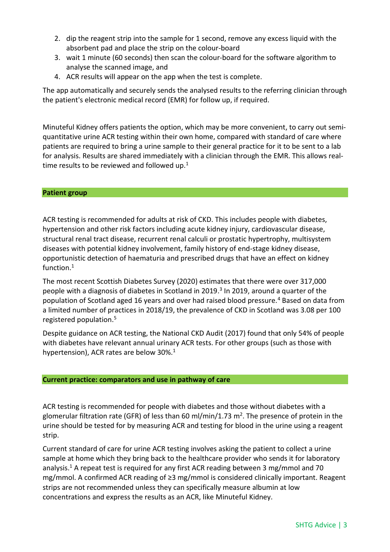- 2. dip the reagent strip into the sample for 1 second, remove any excess liquid with the absorbent pad and place the strip on the colour-board
- 3. wait 1 minute (60 seconds) then scan the colour-board for the software algorithm to analyse the scanned image, and
- 4. ACR results will appear on the app when the test is complete.

The app automatically and securely sends the analysed results to the referring clinician through the patient's electronic medical record (EMR) for follow up, if required.

Minuteful Kidney offers patients the option, which may be more convenient, to carry out semiquantitative urine ACR testing within their own home, compared with standard of care where patients are required to bring a urine sample to their general practice for it to be sent to a lab for analysis. Results are shared immediately with a clinician through the EMR. This allows realtime results to be reviewed and followed up. $1$ 

#### **Patient group**

ACR testing is recommended for adults at risk of CKD. This includes people with diabetes, hypertension and other risk factors including acute kidney injury, cardiovascular disease, structural renal tract disease, recurrent renal calculi or prostatic hypertrophy, multisystem diseases with potential kidney involvement, family history of end-stage kidney disease, opportunistic detection of haematuria and prescribed drugs that have an effect on kidney function.<sup>1</sup>

The most recent Scottish Diabetes Survey (2020) estimates that there were over 317,000 people with a diagnosis of diabetes in Scotland in 2019. 3 In 2019, around a quarter of the population of Scotland aged 16 years and over had raised blood pressure.<sup>4</sup> Based on data from a limited number of practices in 2018/19, the prevalence of CKD in Scotland was 3.08 per 100 registered population.<sup>5</sup>

Despite guidance on ACR testing, the National CKD Audit (2017) found that only 54% of people with diabetes have relevant annual urinary ACR tests. For other groups (such as those with hypertension), ACR rates are below  $30\%$ <sup>1</sup>

#### **Current practice: comparators and use in pathway of care**

ACR testing is recommended for people with diabetes and those without diabetes with a glomerular filtration rate (GFR) of less than 60 ml/min/1.73 m<sup>2</sup>. The presence of protein in the urine should be tested for by measuring ACR and testing for blood in the urine using a reagent strip.

Current standard of care for urine ACR testing involves asking the patient to collect a urine sample at home which they bring back to the healthcare provider who sends it for laboratory analysis.<sup>1</sup> A repeat test is required for any first ACR reading between 3 mg/mmol and 70 mg/mmol. A confirmed ACR reading of ≥3 mg/mmol is considered clinically important. Reagent strips are not recommended unless they can specifically measure albumin at low concentrations and express the results as an ACR, like Minuteful Kidney.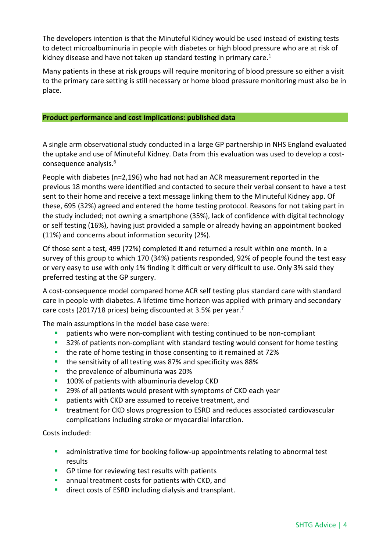The developers intention is that the Minuteful Kidney would be used instead of existing tests to detect microalbuminuria in people with diabetes or high blood pressure who are at risk of kidney disease and have not taken up standard testing in primary care.<sup>1</sup>

Many patients in these at risk groups will require monitoring of blood pressure so either a visit to the primary care setting is still necessary or home blood pressure monitoring must also be in place.

#### **Product performance and cost implications: published data**

A single arm observational study conducted in a large GP partnership in NHS England evaluated the uptake and use of Minuteful Kidney. Data from this evaluation was used to develop a costconsequence analysis. 6

People with diabetes (n=2,196) who had not had an ACR measurement reported in the previous 18 months were identified and contacted to secure their verbal consent to have a test sent to their home and receive a text message linking them to the Minuteful Kidney app. Of these, 695 (32%) agreed and entered the home testing protocol. Reasons for not taking part in the study included; not owning a smartphone (35%), lack of confidence with digital technology or self testing (16%), having just provided a sample or already having an appointment booked (11%) and concerns about information security (2%).

Of those sent a test, 499 (72%) completed it and returned a result within one month. In a survey of this group to which 170 (34%) patients responded, 92% of people found the test easy or very easy to use with only 1% finding it difficult or very difficult to use. Only 3% said they preferred testing at the GP surgery.

A cost-consequence model compared home ACR self testing plus standard care with standard care in people with diabetes. A lifetime time horizon was applied with primary and secondary care costs (2017/18 prices) being discounted at 3.5% per year.<sup>7</sup>

The main assumptions in the model base case were:

- patients who were non-compliant with testing continued to be non-compliant
- <sup>32%</sup> of patients non-compliant with standard testing would consent for home testing
- **the rate of home testing in those consenting to it remained at 72%**
- the sensitivity of all testing was 87% and specificity was 88%
- **the prevalence of albuminuria was 20%**
- 100% of patients with albuminuria develop CKD
- <sup>2</sup> 29% of all patients would present with symptoms of CKD each year
- patients with CKD are assumed to receive treatment, and
- treatment for CKD slows progression to ESRD and reduces associated cardiovascular complications including stroke or myocardial infarction.

Costs included:

- **•** administrative time for booking follow-up appointments relating to abnormal test results
- **GP time for reviewing test results with patients**
- annual treatment costs for patients with CKD, and
- **direct costs of ESRD including dialysis and transplant.**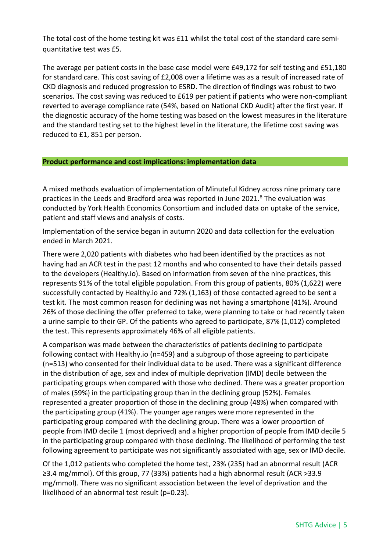The total cost of the home testing kit was £11 whilst the total cost of the standard care semiquantitative test was £5.

The average per patient costs in the base case model were £49,172 for self testing and £51,180 for standard care. This cost saving of £2,008 over a lifetime was as a result of increased rate of CKD diagnosis and reduced progression to ESRD. The direction of findings was robust to two scenarios. The cost saving was reduced to £619 per patient if patients who were non-compliant reverted to average compliance rate (54%, based on National CKD Audit) after the first year. If the diagnostic accuracy of the home testing was based on the lowest measures in the literature and the standard testing set to the highest level in the literature, the lifetime cost saving was reduced to £1, 851 per person.

#### **Product performance and cost implications: implementation data**

A mixed methods evaluation of implementation of Minuteful Kidney across nine primary care practices in the Leeds and Bradford area was reported in June 2021.<sup>8</sup> The evaluation was conducted by York Health Economics Consortium and included data on uptake of the service, patient and staff views and analysis of costs.

Implementation of the service began in autumn 2020 and data collection for the evaluation ended in March 2021.

There were 2,020 patients with diabetes who had been identified by the practices as not having had an ACR test in the past 12 months and who consented to have their details passed to the developers (Healthy.io). Based on information from seven of the nine practices, this represents 91% of the total eligible population. From this group of patients, 80% (1,622) were successfully contacted by Healthy.io and 72% (1,163) of those contacted agreed to be sent a test kit. The most common reason for declining was not having a smartphone (41%). Around 26% of those declining the offer preferred to take, were planning to take or had recently taken a urine sample to their GP. Of the patients who agreed to participate, 87% (1,012) completed the test. This represents approximately 46% of all eligible patients.

A comparison was made between the characteristics of patients declining to participate following contact with Healthy.io (n=459) and a subgroup of those agreeing to participate (n=513) who consented for their individual data to be used. There was a significant difference in the distribution of age, sex and index of multiple deprivation (IMD) decile between the participating groups when compared with those who declined. There was a greater proportion of males (59%) in the participating group than in the declining group (52%). Females represented a greater proportion of those in the declining group (48%) when compared with the participating group (41%). The younger age ranges were more represented in the participating group compared with the declining group. There was a lower proportion of people from IMD decile 1 (most deprived) and a higher proportion of people from IMD decile 5 in the participating group compared with those declining. The likelihood of performing the test following agreement to participate was not significantly associated with age, sex or IMD decile.

Of the 1,012 patients who completed the home test, 23% (235) had an abnormal result (ACR ≥3.4 mg/mmol). Of this group, 77 (33%) patients had a high abnormal result (ACR >33.9 mg/mmol). There was no significant association between the level of deprivation and the likelihood of an abnormal test result (p=0.23).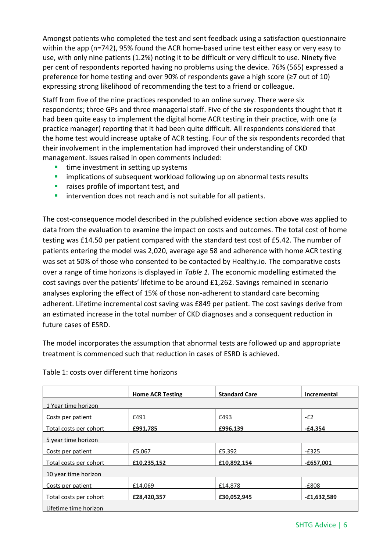Amongst patients who completed the test and sent feedback using a satisfaction questionnaire within the app (n=742), 95% found the ACR home-based urine test either easy or very easy to use, with only nine patients (1.2%) noting it to be difficult or very difficult to use. Ninety five per cent of respondents reported having no problems using the device. 76% (565) expressed a preference for home testing and over 90% of respondents gave a high score (≥7 out of 10) expressing strong likelihood of recommending the test to a friend or colleague.

Staff from five of the nine practices responded to an online survey. There were six respondents; three GPs and three managerial staff. Five of the six respondents thought that it had been quite easy to implement the digital home ACR testing in their practice, with one (a practice manager) reporting that it had been quite difficult. All respondents considered that the home test would increase uptake of ACR testing. Four of the six respondents recorded that their involvement in the implementation had improved their understanding of CKD management. Issues raised in open comments included:

- $\blacksquare$  time investment in setting up systems
- **E** implications of subsequent workload following up on abnormal tests results
- **F** raises profile of important test, and
- **intervention does not reach and is not suitable for all patients.**

The cost-consequence model described in the published evidence section above was applied to data from the evaluation to examine the impact on costs and outcomes. The total cost of home testing was £14.50 per patient compared with the standard test cost of £5.42. The number of patients entering the model was 2,020, average age 58 and adherence with home ACR testing was set at 50% of those who consented to be contacted by Healthy.io. The comparative costs over a range of time horizons is displayed in *Table 1.* The economic modelling estimated the cost savings over the patients' lifetime to be around £1,262. Savings remained in scenario analyses exploring the effect of 15% of those non-adherent to standard care becoming adherent. Lifetime incremental cost saving was £849 per patient. The cost savings derive from an estimated increase in the total number of CKD diagnoses and a consequent reduction in future cases of ESRD.

The model incorporates the assumption that abnormal tests are followed up and appropriate treatment is commenced such that reduction in cases of ESRD is achieved.

|                        | <b>Home ACR Testing</b> | <b>Standard Care</b> | Incremental   |
|------------------------|-------------------------|----------------------|---------------|
| 1 Year time horizon    |                         |                      |               |
| Costs per patient      | £491                    | £493                 | $-E2$         |
| Total costs per cohort | £991,785                | £996,139             | $-£4,354$     |
| 5 year time horizon    |                         |                      |               |
| Costs per patient      | £5,067                  | £5,392               | $-E325$       |
| Total costs per cohort | £10,235,152             | £10,892,154          | $-£657,001$   |
| 10 year time horizon   |                         |                      |               |
|                        |                         |                      |               |
| Costs per patient      | £14.069                 | £14,878              | $-E808$       |
| Total costs per cohort | £28,420,357             | £30,052,945          | $-£1,632,589$ |
| Lifetime time horizon  |                         |                      |               |

#### Table 1: costs over different time horizons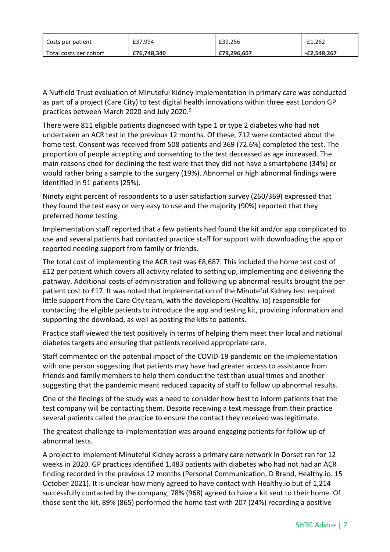| Costs per patient      | £37.994     | £39.256     | £1.262<br>$-+$ |
|------------------------|-------------|-------------|----------------|
| Total costs per cohort | £76,748,340 | £79,296,607 | -£2,548,267    |

A Nuffield Trust evaluation of Minuteful Kidney implementation in primary care was conducted as part of a project (Care City) to test digital health innovations within three east London GP practices between March 2020 and July 2020.<sup>9</sup>

There were 811 eligible patients diagnosed with type 1 or type 2 diabetes who had not undertaken an ACR test in the previous 12 months. Of these, 712 were contacted about the home test. Consent was received from 508 patients and 369 (72.6%) completed the test. The proportion of people accepting and consenting to the test decreased as age increased. The main reasons cited for declining the test were that they did not have a smartphone (34%) or would rather bring a sample to the surgery (19%). Abnormal or high abnormal findings were identified in 91 patients (25%).

Ninety eight percent of respondents to a user satisfaction survey (260/369) expressed that they found the test easy or very easy to use and the majority (90%) reported that they preferred home testing.

Implementation staff reported that a few patients had found the kit and/or app complicated to use and several patients had contacted practice staff for support with downloading the app or reported needing support from family or friends.

The total cost of implementing the ACR test was £8,687. This included the home test cost of £12 per patient which covers all activity related to setting up, implementing and delivering the pathway. Additional costs of administration and following up abnormal results brought the per patient cost to £17. It was noted that implementation of the Minuteful Kidney test required little support from the Care City team, with the developers (Healthy. io) responsible for contacting the eligible patients to introduce the app and testing kit, providing information and supporting the download, as well as posting the kits to patients.

Practice staff viewed the test positively in terms of helping them meet their local and national diabetes targets and ensuring that patients received appropriate care.

Staff commented on the potential impact of the COVID-19 pandemic on the implementation with one person suggesting that patients may have had greater access to assistance from friends and family members to help them conduct the test than usual times and another suggesting that the pandemic meant reduced capacity of staff to follow up abnormal results.

One of the findings of the study was a need to consider how best to inform patients that the test company will be contacting them. Despite receiving a text message from their practice several patients called the practice to ensure the contact they received was legitimate.

The greatest challenge to implementation was around engaging patients for follow up of abnormal tests.

A project to implement Minuteful Kidney across a primary care network in Dorset ran for 12 weeks in 2020. GP practices identified 1,483 patients with diabetes who had not had an ACR finding recorded in the previous 12 months (Personal Communication, D Brand, Healthy.io. 15 October 2021). It is unclear how many agreed to have contact with Healthy.io but of 1,214 successfully contacted by the company, 78% (968) agreed to have a kit sent to their home. Of those sent the kit, 89% (865) performed the home test with 207 (24%) recording a positive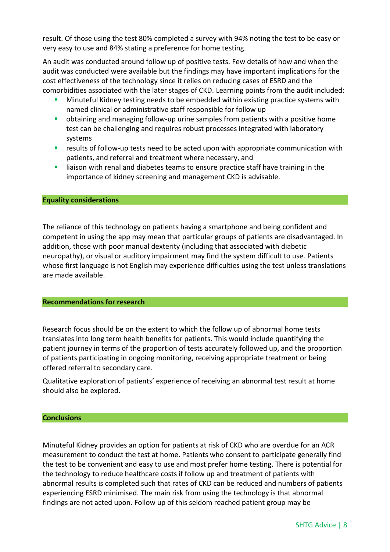result. Of those using the test 80% completed a survey with 94% noting the test to be easy or very easy to use and 84% stating a preference for home testing.

An audit was conducted around follow up of positive tests. Few details of how and when the audit was conducted were available but the findings may have important implications for the cost effectiveness of the technology since it relies on reducing cases of ESRD and the comorbidities associated with the later stages of CKD. Learning points from the audit included:

- **Minuteful Kidney testing needs to be embedded within existing practice systems with** named clinical or administrative staff responsible for follow up
- obtaining and managing follow-up urine samples from patients with a positive home test can be challenging and requires robust processes integrated with laboratory systems
- results of follow-up tests need to be acted upon with appropriate communication with patients, and referral and treatment where necessary, and
- liaison with renal and diabetes teams to ensure practice staff have training in the importance of kidney screening and management CKD is advisable.

#### **Equality considerations**

The reliance of this technology on patients having a smartphone and being confident and competent in using the app may mean that particular groups of patients are disadvantaged. In addition, those with poor manual dexterity (including that associated with diabetic neuropathy), or visual or auditory impairment may find the system difficult to use. Patients whose first language is not English may experience difficulties using the test unless translations are made available.

#### **Recommendations for research**

Research focus should be on the extent to which the follow up of abnormal home tests translates into long term health benefits for patients. This would include quantifying the patient journey in terms of the proportion of tests accurately followed up, and the proportion of patients participating in ongoing monitoring, receiving appropriate treatment or being offered referral to secondary care.

Qualitative exploration of patients' experience of receiving an abnormal test result at home should also be explored.

#### **Conclusions**

Minuteful Kidney provides an option for patients at risk of CKD who are overdue for an ACR measurement to conduct the test at home. Patients who consent to participate generally find the test to be convenient and easy to use and most prefer home testing. There is potential for the technology to reduce healthcare costs if follow up and treatment of patients with abnormal results is completed such that rates of CKD can be reduced and numbers of patients experiencing ESRD minimised. The main risk from using the technology is that abnormal findings are not acted upon. Follow up of this seldom reached patient group may be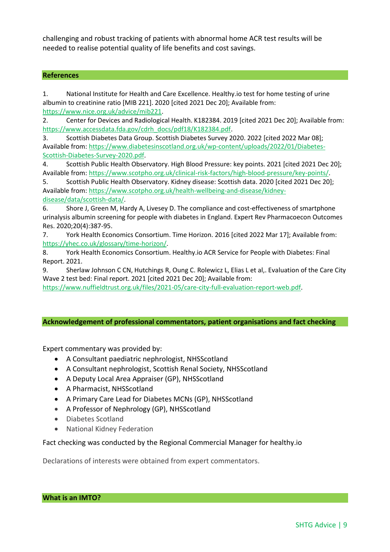challenging and robust tracking of patients with abnormal home ACR test results will be needed to realise potential quality of life benefits and cost savings.

#### **References**

1. National Institute for Health and Care Excellence. Healthy.io test for home testing of urine albumin to creatinine ratio [MIB 221]. 2020 [cited 2021 Dec 20]; Available from: [https://www.nice.org.uk/advice/mib221.](https://www.nice.org.uk/advice/mib221)

2. Center for Devices and Radiological Health. K182384. 2019 [cited 2021 Dec 20]; Available from: [https://www.accessdata.fda.gov/cdrh\\_docs/pdf18/K182384.pdf.](https://www.accessdata.fda.gov/cdrh_docs/pdf18/K182384.pdf)

3. Scottish Diabetes Data Group. Scottish Diabetes Survey 2020. 2022 [cited 2022 Mar 08]; Available from[: https://www.diabetesinscotland.org.uk/wp-content/uploads/2022/01/Diabetes-](https://www.diabetesinscotland.org.uk/wp-content/uploads/2022/01/Diabetes-Scottish-Diabetes-Survey-2020.pdf)[Scottish-Diabetes-Survey-2020.pdf.](https://www.diabetesinscotland.org.uk/wp-content/uploads/2022/01/Diabetes-Scottish-Diabetes-Survey-2020.pdf)

4. Scottish Public Health Observatory. High Blood Pressure: key points. 2021 [cited 2021 Dec 20]; Available from[: https://www.scotpho.org.uk/clinical-risk-factors/high-blood-pressure/key-points/.](https://www.scotpho.org.uk/clinical-risk-factors/high-blood-pressure/key-points/)

5. Scottish Public Health Observatory. Kidney disease: Scottish data. 2020 [cited 2021 Dec 20]; Available from[: https://www.scotpho.org.uk/health-wellbeing-and-disease/kidney-](https://www.scotpho.org.uk/health-wellbeing-and-disease/kidney-disease/data/scottish-data/)

#### [disease/data/scottish-data/.](https://www.scotpho.org.uk/health-wellbeing-and-disease/kidney-disease/data/scottish-data/)

6. Shore J, Green M, Hardy A, Livesey D. The compliance and cost-effectiveness of smartphone urinalysis albumin screening for people with diabetes in England. Expert Rev Pharmacoecon Outcomes Res. 2020;20(4):387-95.

7. York Health Economics Consortium. Time Horizon. 2016 [cited 2022 Mar 17]; Available from: [https://yhec.co.uk/glossary/time-horizon/.](https://yhec.co.uk/glossary/time-horizon/)

8. York Health Economics Consortium. Healthy.io ACR Service for People with Diabetes: Final Report. 2021.

9. Sherlaw Johnson C CN, Hutchings R, Oung C. Rolewicz L, Elias L et al,. Evaluation of the Care City Wave 2 test bed: Final report. 2021 [cited 2021 Dec 20]; Available from:

[https://www.nuffieldtrust.org.uk/files/2021-05/care-city-full-evaluation-report-web.pdf.](https://www.nuffieldtrust.org.uk/files/2021-05/care-city-full-evaluation-report-web.pdf)

#### **Acknowledgement of professional commentators, patient organisations and fact checking**

Expert commentary was provided by:

- A Consultant paediatric nephrologist, NHSScotland
- A Consultant nephrologist, Scottish Renal Society, NHSScotland
- A Deputy Local Area Appraiser (GP), NHSScotland
- A Pharmacist, NHSScotland
- A Primary Care Lead for Diabetes MCNs (GP), NHSScotland
- A Professor of Nephrology (GP), NHSScotland
- Diabetes Scotland
- National Kidney Federation

Fact checking was conducted by the Regional Commercial Manager for healthy.io

Declarations of interests were obtained from expert commentators.